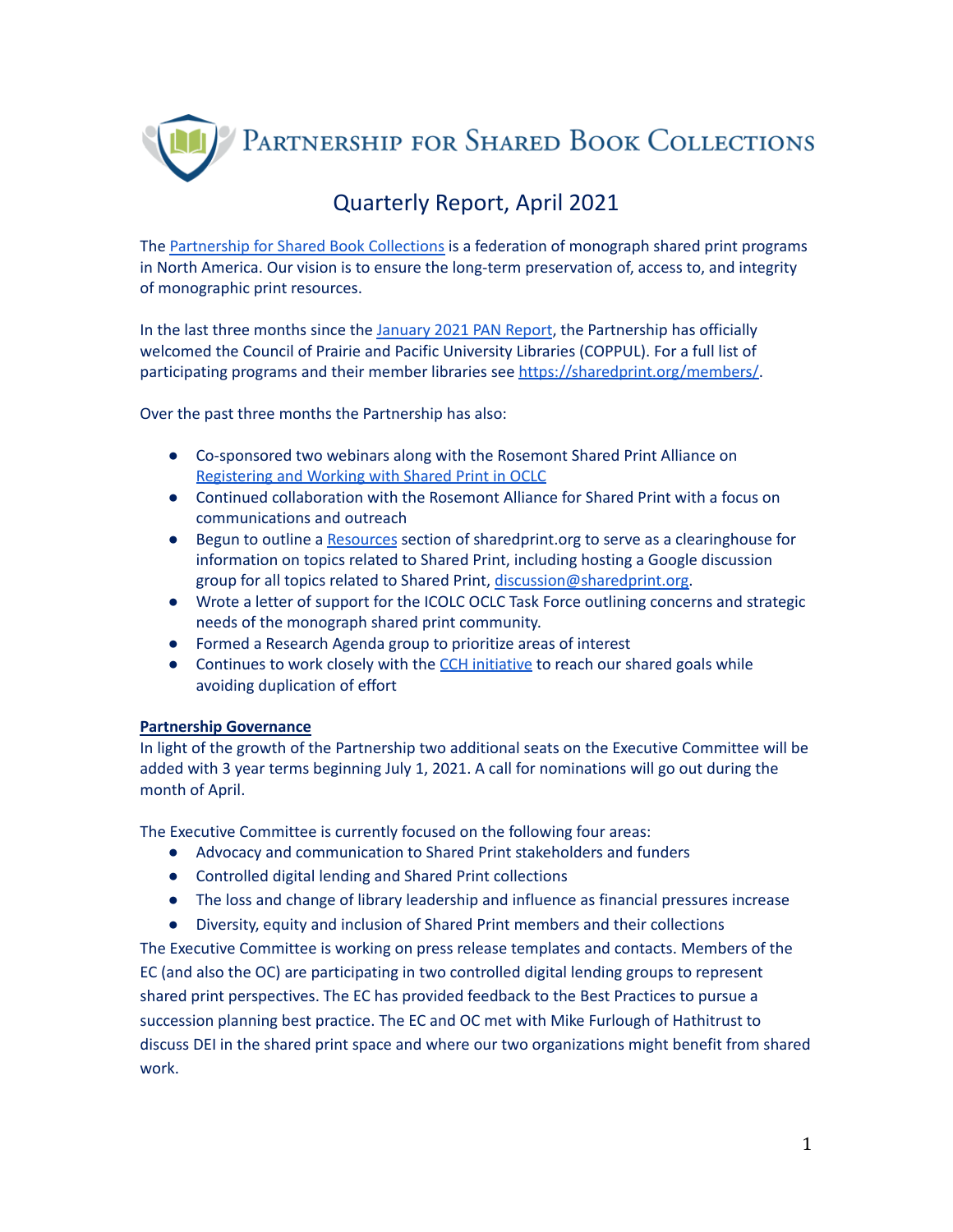PARTNERSHIP FOR SHARED BOOK COLLECTIONS

# Quarterly Report, April 2021

The [Partnership](https://sharedprint.org/) for Shared Book Collections is a federation of monograph shared print programs in North America. Our vision is to ensure the long-term preservation of, access to, and integrity of monographic print resources.

In the last three months since the [January](https://sharedprint.org/wp-content/uploads/2021/01/Partnership_PAN_Report_Jan_2021.pdf) 2021 PAN Report, the Partnership has officially welcomed the Council of Prairie and Pacific University Libraries (COPPUL). For a full list of participating programs and their member libraries see [https://sharedprint.org/members/.](https://sharedprint.org/members/)

Over the past three months the Partnership has also:

- Co-sponsored two webinars along with the Rosemont Shared Print Alliance on [Registering](https://sharedprint.org/2021/01/20/webinars-on-working-with-shared-print-in-oclc/) and Working with Shared Print in OCLC
- Continued collaboration with the Rosemont Alliance for Shared Print with a focus on communications and outreach
- Begun to outline a [Resources](https://sharedprint.org/resources/) section of sharedprint.org to serve as a clearinghouse for information on topics related to Shared Print, including hosting a Google discussion group for all topics related to Shared Print, [discussion@sharedprint.org.](mailto:discussion@sharedprint.org)
- Wrote a letter of support for the ICOLC OCLC Task Force outlining concerns and strategic needs of the monograph shared print community.
- Formed a Research Agenda group to prioritize areas of interest
- Continues to work closely with the CCH [initiative](https://www.cchcollab.org/) to reach our shared goals while avoiding duplication of effort

# **Partnership Governance**

In light of the growth of the Partnership two additional seats on the Executive Committee will be added with 3 year terms beginning July 1, 2021. A call for nominations will go out during the month of April.

The Executive Committee is currently focused on the following four areas:

- Advocacy and communication to Shared Print stakeholders and funders
- Controlled digital lending and Shared Print collections
- The loss and change of library leadership and influence as financial pressures increase
- Diversity, equity and inclusion of Shared Print members and their collections

The Executive Committee is working on press release templates and contacts. Members of the EC (and also the OC) are participating in two controlled digital lending groups to represent shared print perspectives. The EC has provided feedback to the Best Practices to pursue a succession planning best practice. The EC and OC met with Mike Furlough of Hathitrust to discuss DEI in the shared print space and where our two organizations might benefit from shared work.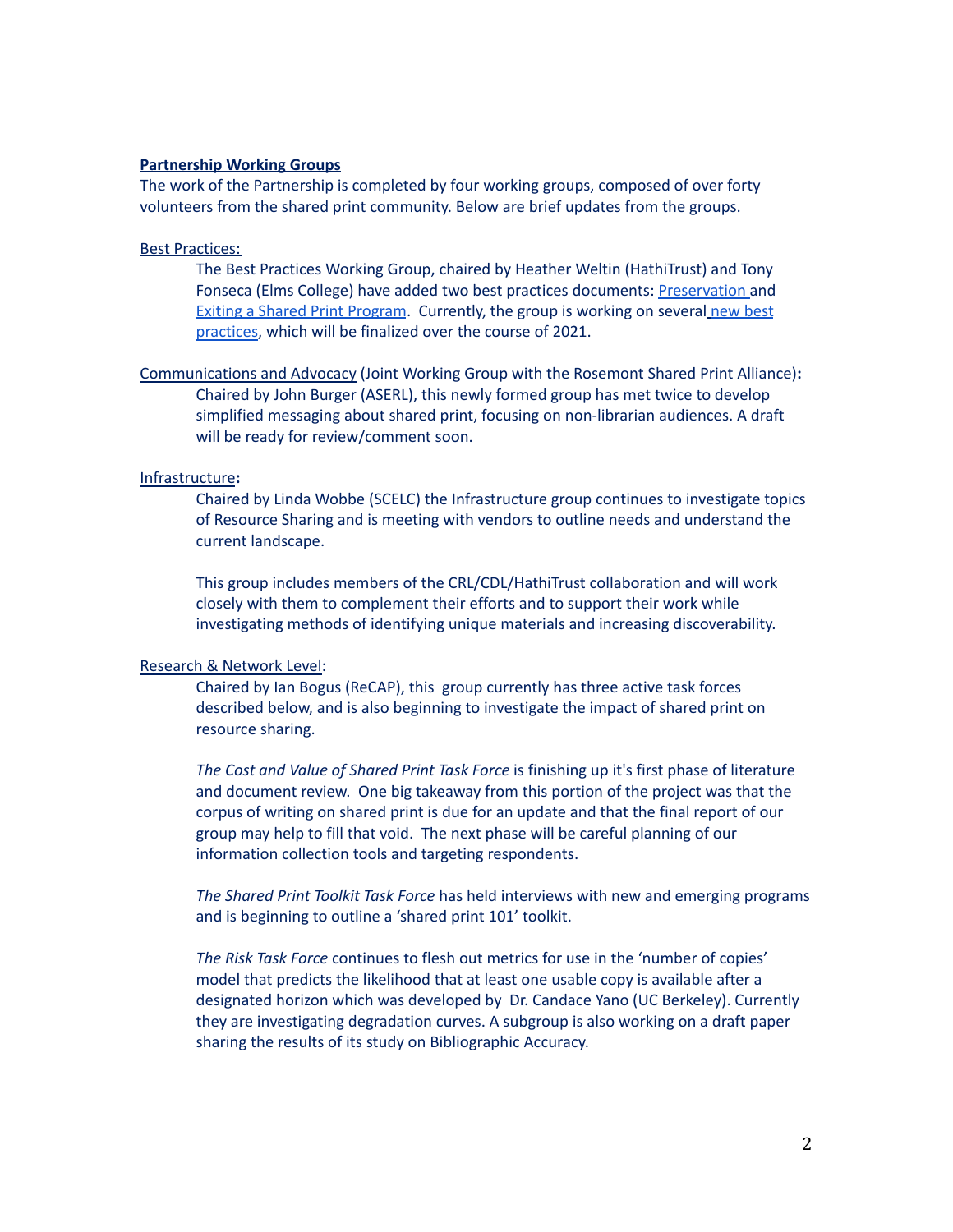#### **Partnership Working Groups**

The work of the Partnership is completed by four working groups, composed of over forty volunteers from the shared print community. Below are brief updates from the groups.

#### Best [Practices:](https://sharedprint.org/about/working-groups/best-practices/)

The Best Practices Working Group, chaired by Heather Weltin (HathiTrust) and Tony Fonseca (Elms College) have added two best practices documents: [Preservation](https://sharedprint.org/best-practices/preservation/) and Exiting a Shared Print [Program](https://sharedprint.org/best-practices/best-practices-for-exiting-a-shared-print-program/). Currently, the group is working on several new [best](https://sharedprint.org/best-practices/additional-best-practices-under-development/) [practices,](https://sharedprint.org/best-practices/additional-best-practices-under-development/) which will be finalized over the course of 2021.

[Communications](https://sharedprint.org/about/working-groups/communications/) and Advocacy (Joint Working Group with the Rosemont Shared Print Alliance)**:** Chaired by John Burger (ASERL), this newly formed group has met twice to develop simplified messaging about shared print, focusing on non-librarian audiences. A draft will be ready for review/comment soon.

## [Infrastructure](https://sharedprint.org/about/working-groups/infrastructure/)**:**

Chaired by Linda Wobbe (SCELC) the Infrastructure group continues to investigate topics of Resource Sharing and is meeting with vendors to outline needs and understand the current landscape.

This group includes members of the CRL/CDL/HathiTrust collaboration and will work closely with them to complement their efforts and to support their work while investigating methods of identifying unique materials and increasing discoverability.

#### [Research](https://sharedprint.org/about/working-groups/research-and-network-level/) & Network Level:

Chaired by Ian Bogus (ReCAP), this group currently has three active task forces described below, and is also beginning to investigate the impact of shared print on resource sharing.

*The Cost and Value of Shared Print Task Force* is finishing up it's first phase of literature and document review. One big takeaway from this portion of the project was that the corpus of writing on shared print is due for an update and that the final report of our group may help to fill that void. The next phase will be careful planning of our information collection tools and targeting respondents.

*The Shared Print Toolkit Task Force* has held interviews with new and emerging programs and is beginning to outline a 'shared print 101' toolkit.

*The Risk Task Force* continues to flesh out metrics for use in the 'number of copies' model that predicts the likelihood that at least one usable copy is available after a designated horizon which was developed by Dr. Candace Yano (UC Berkeley). Currently they are investigating degradation curves. A subgroup is also working on a draft paper sharing the results of its study on Bibliographic Accuracy.